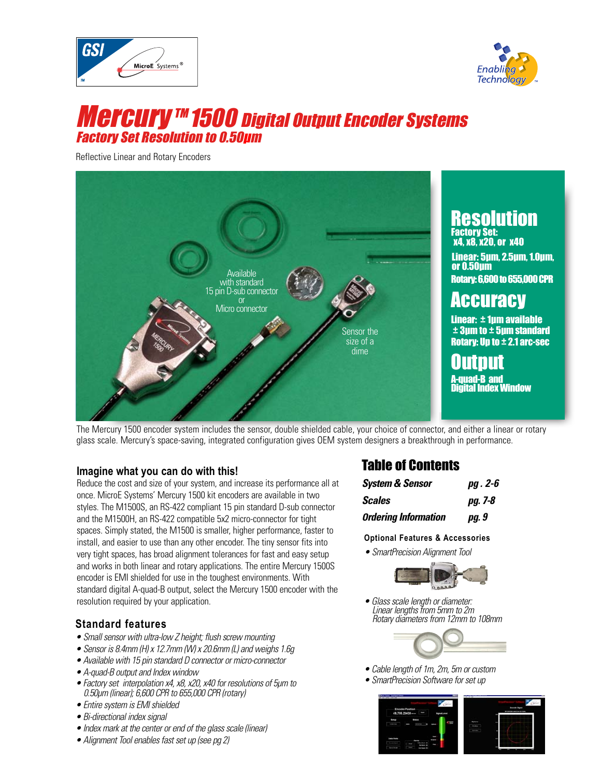



# **Mercury™ 1500 Digital Output Encoder Systems** Factory Set Resolution to 0.50μm

Reflective Linear and Rotary Encoders



The Mercury 1500 encoder system includes the sensor, double shielded cable, your choice of connector, and either a linear or rotary glass scale. Mercury's space-saving, integrated configuration gives OEM system designers a breakthrough in performance.

#### **Imagine what you can do with this!**

Reduce the cost and size of your system, and increase its performance all at once. MicroE Systems' Mercury 1500 kit encoders are available in two styles. The M1500S, an RS-422 compliant 15 pin standard D-sub connector and the M1500H, an RS-422 compatible 5x2 micro-connector for tight spaces. Simply stated, the M1500 is smaller, higher performance, faster to install, and easier to use than any other encoder. The tiny sensor fits into very tight spaces, has broad alignment tolerances for fast and easy setup and works in both linear and rotary applications. The entire Mercury 1500S encoder is EMI shielded for use in the toughest environments. With standard digital A-quad-B output, select the Mercury 1500 encoder with the resolution required by your application.

### **Standard features**

- Small sensor with ultra-low Z height; flush screw mounting
- Sensor is 8.4mm (H) x 12.7mm (W) x 20.6mm (L) and weighs 1.6g
- Available with 15 pin standard D connector or micro-connector
- A-quad-B output and Index window
- Factory set interpolation x4, x8, x20, x40 for resolutions of 5µm to 0.50µm (linear); 6,600 CPR to 655,000 CPR (rotary)
- Entire system is EMI shielded
- Bi-directional index signal
- Index mark at the center or end of the glass scale (linear)
- Alignment Tool enables fast set up (see pg 2)

# Table of Contents

| System & Sensor             | pg. 2-6 |
|-----------------------------|---------|
| Scales                      | pg. 7-8 |
| <b>Ordering Information</b> | pg. 9   |

#### **Optional Features & Accessories**

• SmartPrecision Alignment Tool



• Glass scale length or diameter: Linear lengths from 5mm to 2m Rotary diameters from 12mm to 108mm



- Cable length of 1m, 2m, 5m or custom
- SmartPrecision Software for set up

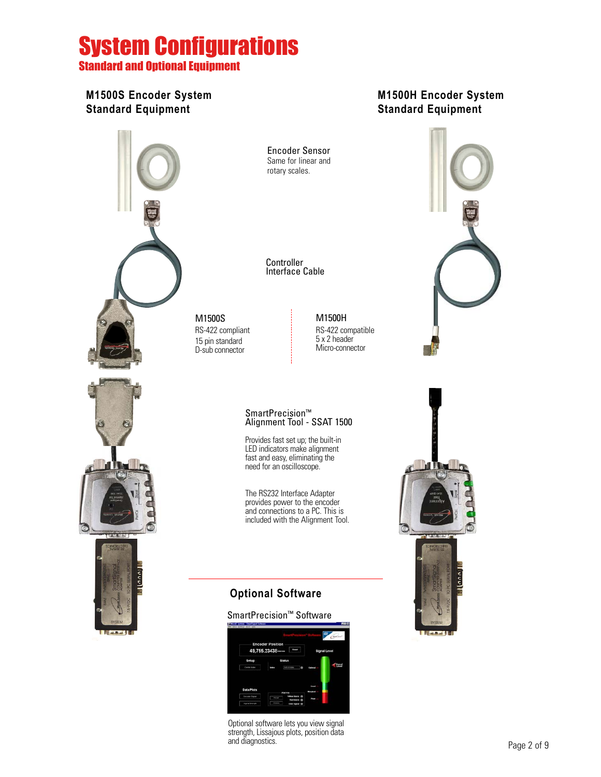# System Configurations

Standard and Optional Equipment

## **M1500S Encoder System Standard Equipment**

# **M1500H Encoder System Standard Equipment**



Encoder Sensor Same for linear and rotary scales.

**Controller** Interface Cable

M1500S RS-422 compliant 15 pin standard D-sub connector

M1500H RS-422 compatible 5 x 2 header Micro-connector

#### SmartPrecision™ Alignment Tool - SSAT 1500

Provides fast set up; the built-in LED indicators make alignment fast and easy, eliminating the need for an oscilloscope.

The RS232 Interface Adapter provides power to the encoder and connections to a PC. This is included with the Alignment Tool.

# **Optional Software**

#### SmartPrecision™ Software



Optional software lets you view signal strength, Lissajous plots, position data and diagnostics.



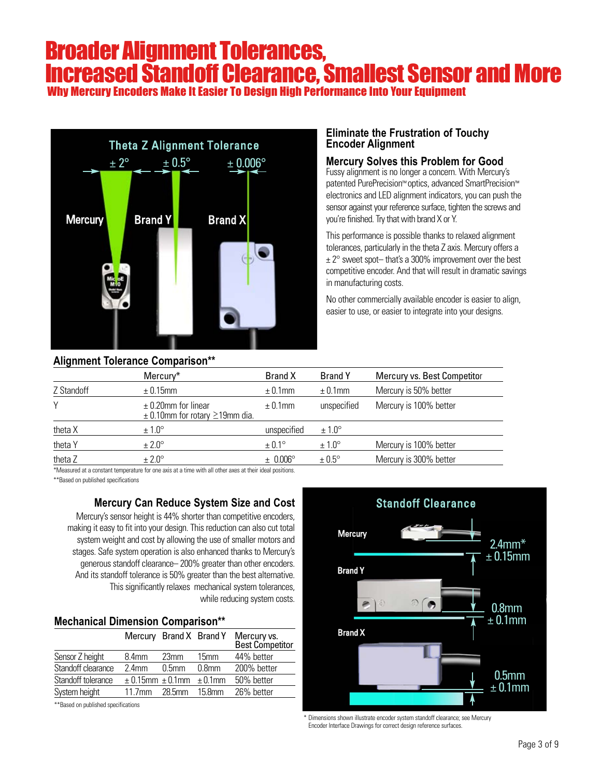# Broader Alignment Tolerances, Increased Standoff Clearance, Smallest Sensor and More

Why Mercury Encoders Make It Easier To Design High Performance Into Your Equipment



### **Alignment Tolerance Comparison\*\***

### **Eliminate the Frustration of Touchy Encoder Alignment**

#### **Mercury Solves this Problem for Good**

Fussy alignment is no longer a concern. With Mercury's patented PurePrecision™ optics, advanced SmartPrecision™ electronics and LED alignment indicators, you can push the sensor against your reference surface, tighten the screws and you're finished. Try that with brand X or Y.

This performance is possible thanks to relaxed alignment tolerances, particularly in the theta Z axis. Mercury offers a  $\pm$  2 $\degree$  sweet spot-that's a 300% improvement over the best competitive encoder. And that will result in dramatic savings in manufacturing costs.

No other commercially available encoder is easier to align, easier to use, or easier to integrate into your designs.

|                                                                     |                   |                   | Mercury vs. Best Competitor                      |
|---------------------------------------------------------------------|-------------------|-------------------|--------------------------------------------------|
| $\pm$ 0.15mm                                                        | $\pm$ 0.1mm       | $\pm$ 0.1mm       | Mercury is 50% better                            |
| $\pm$ 0.20mm for linear<br>$\pm$ 0.10mm for rotary $\geq$ 19mm dia. | $\pm$ 0.1mm       | unspecified       | Mercury is 100% better                           |
| $\pm 1.0^\circ$                                                     | unspecified       | $\pm 1.0^\circ$   |                                                  |
| $\pm 2.0^{\circ}$                                                   | $\pm 0.1^{\circ}$ | $±1.0^\circ$      | Mercury is 100% better                           |
| $± 2.0^\circ$                                                       | $\pm$ 0.006°      | $\pm 0.5^{\circ}$ | Mercury is 300% better                           |
|                                                                     | Mercury*          | <b>Brand X</b>    | Anguinone roidianoc companocii<br><b>Brand Y</b> |

\*Measured at a constant temperature for one axis at a time with all other axes at their ideal positions.

\*\*Based on published specifications

#### **Mercury Can Reduce System Size and Cost**

Mercury's sensor height is 44% shorter than competitive encoders, making it easy to fit into your design. This reduction can also cut total system weight and cost by allowing the use of smaller motors and stages. Safe system operation is also enhanced thanks to Mercury's generous standoff clearance– 200% greater than other encoders. And its standoff tolerance is 50% greater than the best alternative. This significantly relaxes mechanical system tolerances, while reducing system costs.

#### **Mechanical Dimension Comparison\*\***

|                    | Mercury Brand X Brand Y              |                   |                   | Mercury vs.<br>Best Competitor |
|--------------------|--------------------------------------|-------------------|-------------------|--------------------------------|
| Sensor Z height    | 8.4 <sub>mm</sub>                    | 23mm              | 15mm              | 44% better                     |
| Standoff clearance | $2.4$ mm                             | 0.5 <sub>mm</sub> | 0.8 <sub>mm</sub> | 200% better                    |
| Standoff tolerance | $\pm$ 0.15mm $\pm$ 0.1mm $\pm$ 0.1mm |                   |                   | 50% better                     |
| System height      | $11.7$ mm                            | 28.5mm            | $15.8$ mm         | 26% better                     |
|                    |                                      |                   |                   |                                |

\*\*Based on published specifications



\* Dimensions shown illustrate encoder system standoff clearance; see Mercury Encoder Interface Drawings for correct design reference surfaces.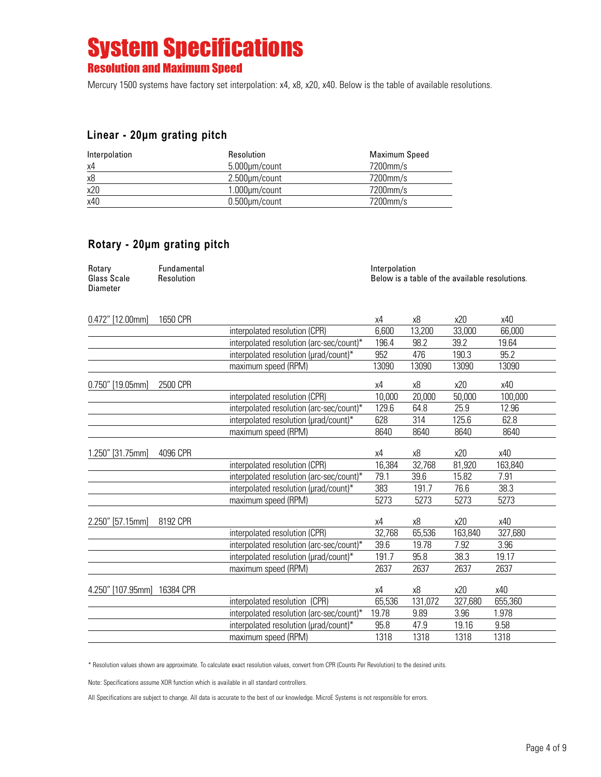# System Specifications Resolution and Maximum Speed

Mercury 1500 systems have factory set interpolation: x4, x8, x20, x40. Below is the table of available resolutions.

### **Linear - 20μm grating pitch**

| Interpolation | Resolution           | Maximum Speed |
|---------------|----------------------|---------------|
| x4            | 5.000µm/count        | 7200mm/s      |
| x8            | 2.500µm/count        | 7200mm/s      |
| x20           | $1.000 \mu m$ /count | 7200mm/s      |
| x40           | $0.500 \mu m$ /count | 7200mm/s      |

## **Rotary - 20μm grating pitch**

| Rotary      | Fundamental | Interpolation                                  |
|-------------|-------------|------------------------------------------------|
| Glass Scale | Resolution  | Below is a table of the available resolutions. |
| Diameter    |             |                                                |

| 0.472" [12.00mm]   | 1650 CPR  |                                          | χ4     | x8      | x20     | x40     |
|--------------------|-----------|------------------------------------------|--------|---------|---------|---------|
|                    |           | interpolated resolution (CPR)            | 6,600  | 13,200  | 33,000  | 66,000  |
|                    |           | interpolated resolution (arc-sec/count)* | 196.4  | 98.2    | 39.2    | 19.64   |
|                    |           | interpolated resolution (urad/count)*    | 952    | 476     | 190.3   | 95.2    |
|                    |           | maximum speed (RPM)                      | 13090  | 13090   | 13090   | 13090   |
| $0.750"$ [19.05mm] | 2500 CPR  |                                          | x4     | x8      | x20     | x40     |
|                    |           | interpolated resolution (CPR)            | 10,000 | 20,000  | 50,000  | 100,000 |
|                    |           | interpolated resolution (arc-sec/count)* | 129.6  | 64.8    | 25.9    | 12.96   |
|                    |           | interpolated resolution (urad/count)*    | 628    | 314     | 125.6   | 62.8    |
|                    |           | maximum speed (RPM)                      | 8640   | 8640    | 8640    | 8640    |
| 1.250" [31.75mm]   | 4096 CPR  |                                          | х4     | x8      | x20     | x40     |
|                    |           | interpolated resolution (CPR)            | 16,384 | 32,768  | 81,920  | 163,840 |
|                    |           | interpolated resolution (arc-sec/count)* | 79.1   | 39.6    | 15.82   | 7.91    |
|                    |           | interpolated resolution (µrad/count)*    | 383    | 191.7   | 76.6    | 38.3    |
|                    |           | maximum speed (RPM)                      | 5273   | 5273    | 5273    | 5273    |
| 2.250" [57.15mm]   | 8192 CPR  |                                          | x4     | x8      | x20     | x40     |
|                    |           | interpolated resolution (CPR)            | 32,768 | 65,536  | 163,840 | 327,680 |
|                    |           | interpolated resolution (arc-sec/count)* | 39.6   | 19.78   | 7.92    | 3.96    |
|                    |           | interpolated resolution (µrad/count)*    | 191.7  | 95.8    | 38.3    | 19.17   |
|                    |           | maximum speed (RPM)                      | 2637   | 2637    | 2637    | 2637    |
| 4.250" [107.95mm]  | 16384 CPR |                                          | χ4     | х8      | x20     | x40     |
|                    |           | interpolated resolution (CPR)            | 65,536 | 131,072 | 327,680 | 655,360 |
|                    |           | interpolated resolution (arc-sec/count)* | 19.78  | 9.89    | 3.96    | 1.978   |
|                    |           | interpolated resolution (urad/count)*    | 95.8   | 47.9    | 19.16   | 9.58    |
|                    |           | maximum speed (RPM)                      | 1318   | 1318    | 1318    | 1318    |

\* Resolution values shown are approximate. To calculate exact resolution values, convert from CPR (Counts Per Revolution) to the desired units.

Note: Specifications assume XOR function which is available in all standard controllers.

All Specifications are subject to change. All data is accurate to the best of our knowledge. MicroE Systems is not responsible for errors.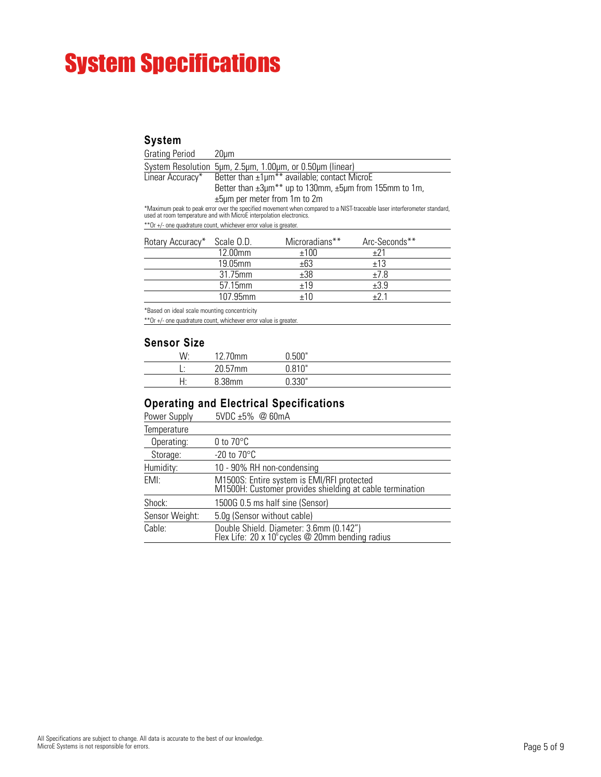# System Specifications

## **System**

| <b>Grating Period</b> | 20um                                                                                                                                                                                                                              |
|-----------------------|-----------------------------------------------------------------------------------------------------------------------------------------------------------------------------------------------------------------------------------|
|                       | System Resolution 5µm, 2.5µm, 1.00µm, or 0.50µm (linear)                                                                                                                                                                          |
| Linear Accuracy*      | Better than $\pm 1 \mu m^{**}$ available; contact MicroE                                                                                                                                                                          |
|                       | Better than $\pm 3\mu m^{**}$ up to 130mm, $\pm 5\mu m$ from 155mm to 1m,                                                                                                                                                         |
|                       | $\pm 5\mu$ m per meter from 1 m to 2 m                                                                                                                                                                                            |
|                       | *Maximum peak to peak error over the specified movement when compared to a NIST-traceable laser interferometer standard,<br>used at room temperature and with MicroE interpolation electronics.                                   |
|                       | $\frac{1}{2}$ . The contract of the contract of the contract of the contract of the contract of the contract of the contract of the contract of the contract of the contract of the contract of the contract of the contract of t |

\*\*Or +/- one quadrature count, whichever error value is greater.

| Rotary Accuracy* | Scale O.D. | Microradians** | Arc-Seconds** |  |
|------------------|------------|----------------|---------------|--|
|                  | $12.00$ mm | ±100           | +21           |  |
|                  | 19.05mm    | ±63            | ±13           |  |
|                  | 31.75mm    | ±38            | $+7.8$        |  |
|                  | 57.15mm    | ±19            | ±3.9          |  |
|                  | 107.95mm   | ±10            | ⊥? 1          |  |

\*Based on ideal scale mounting concentricity

\*\*Or +/- one quadrature count, whichever error value is greater.

#### **Sensor Size**

| W:      | 12.70mm           | 0.500" |  |
|---------|-------------------|--------|--|
|         | 20.57mm           | 0.810" |  |
| ⊶⊶<br>. | .38 <sub>mm</sub> | .330"  |  |

## **Operating and Electrical Specifications**

| Power Supply   | $5VDC \pm 5\%$ @ 60mA                                                                                  |
|----------------|--------------------------------------------------------------------------------------------------------|
| Temperature    |                                                                                                        |
| Operating:     | 0 to $70^{\circ}$ C                                                                                    |
| Storage:       | $-20$ to $70^{\circ}$ C                                                                                |
| Humidity:      | 10 - 90% RH non-condensing                                                                             |
| EMI:           | M1500S: Entire system is EMI/RFI protected<br>M1500H: Customer provides shielding at cable termination |
| Shock:         | 1500G 0.5 ms half sine (Sensor)                                                                        |
| Sensor Weight: | 5.0g (Sensor without cable)                                                                            |
| Cable:         | Double Shield. Diameter: 3.6mm (0.142")<br>Flex Life: 20 x 10° cycles @ 20mm bending radius            |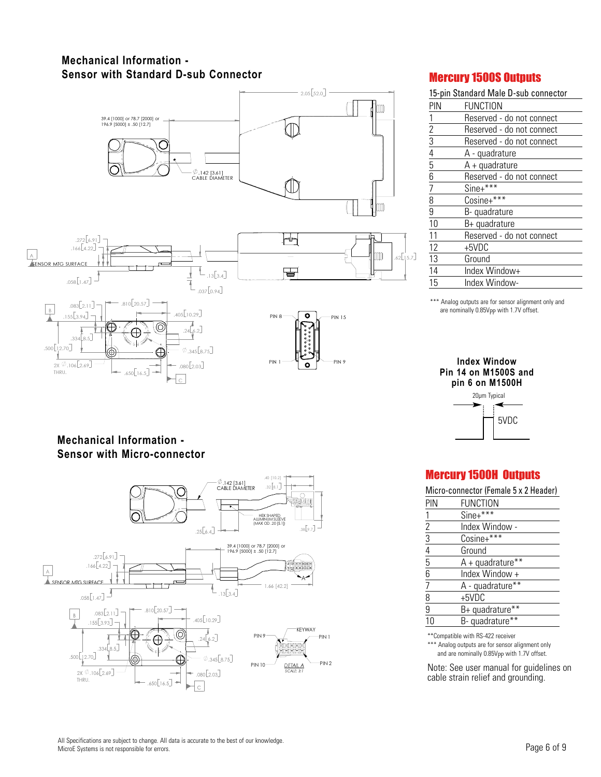## **Mechanical Information - Sensor with Standard D-sub Connector**



### Mercury 1500S Outputs

|                                                         | 15-pin Standard Male D-sub connector |
|---------------------------------------------------------|--------------------------------------|
| PIN                                                     | FUNCTION                             |
| 1                                                       | Reserved - do not connect            |
|                                                         | Reserved - do not connect            |
|                                                         | Reserved - do not connect            |
| $\frac{2}{3} - \frac{3}{4} - \frac{1}{5} - \frac{6}{6}$ | A - quadrature                       |
|                                                         | $A +$ quadrature                     |
|                                                         | Reserved - do not connect            |
| $\frac{7}{8}$                                           | $Sine+***$                           |
|                                                         | Cosine+***                           |
|                                                         | B-quadrature                         |
| 10                                                      | B+ quadrature                        |
| 11                                                      | Reserved - do not connect            |
| 12                                                      | +5VDC                                |
| 13                                                      | Ground                               |
| 14                                                      | Index Window+                        |
| 15                                                      | Index Window-                        |

\*\*\* Analog outputs are for sensor alignment only and are nominally 0.85Vpp with 1.7V offset.

## **Index Window Pin 14 on M1500S and pin 6 on M1500H**

| 20µm Typical |      |
|--------------|------|
|              | 5VDC |

# Mercury 1500H Outputs

Micro-connector (Female 5 x 2 Header)

| pin                                       | <b>FUNCTION</b>    |
|-------------------------------------------|--------------------|
| 1                                         | Sine+***           |
|                                           | Index Window -     |
| $\frac{2}{3}$ $\frac{3}{4}$ $\frac{4}{5}$ | Cosine+***         |
|                                           | Ground             |
|                                           | $A + quadrature**$ |
| $\overline{6}$                            | Index Window +     |
| $\overline{7}$                            | A - quadrature**   |
| $\overline{8}$                            | +5VDC              |
| 9                                         | B+ quadrature**    |
| 10                                        | B-quadrature**     |
|                                           |                    |

\*\*Compatible with RS-422 receiver

\*\*\* Analog outputs are for sensor alignment only and are nominally 0.85Vpp with 1.7V offset.

Note: See user manual for guidelines on cable strain relief and grounding.

## **Mechanical Information - Sensor with Micro-connector**



All Specifications are subject to change. All data is accurate to the best of our knowledge. MicroE Systems is not responsible for errors.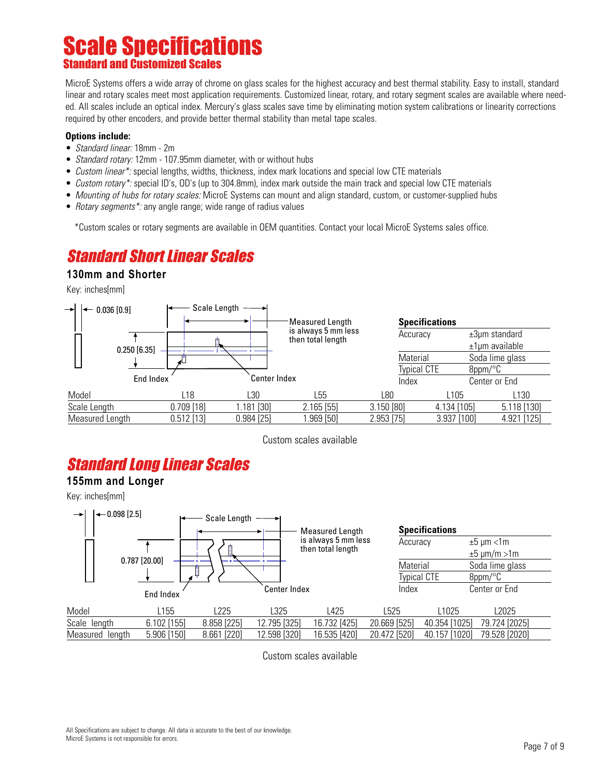# Scale Specifications Standard and Customized Sca

MicroE Systems offers a wide array of chrome on glass scales for the highest accuracy and best thermal stability. Easy to install, standard linear and rotary scales meet most application requirements. Customized linear, rotary, and rotary segment scales are available where needed. All scales include an optical index. Mercury's glass scales save time by eliminating motion system calibrations or linearity corrections required by other encoders, and provide better thermal stability than metal tape scales.

#### **Options include:**

- *Standard linear:* 18mm 2m
- Standard rotary: 12mm 107.95mm diameter, with or without hubs
- Custom linear\*: special lengths, widths, thickness, index mark locations and special low CTE materials
- Custom rotary\*: special ID's, OD's (up to 304.8mm), index mark outside the main track and special low CTE materials
- Mounting of hubs for rotary scales: MicroE Systems can mount and align standard, custom, or customer-supplied hubs
- Rotary segments\*: any angle range; wide range of radius values

\*Custom scales or rotary segments are available in OEM quantities. Contact your local MicroE Systems sales office.

# Standard Short Linear Scales

#### **130mm and Shorter**

Key: inches[mm]



Custom scales available

# Standard Long Linear Scales

#### **155mm and Longer**

Key: inches[mm]



Custom scales available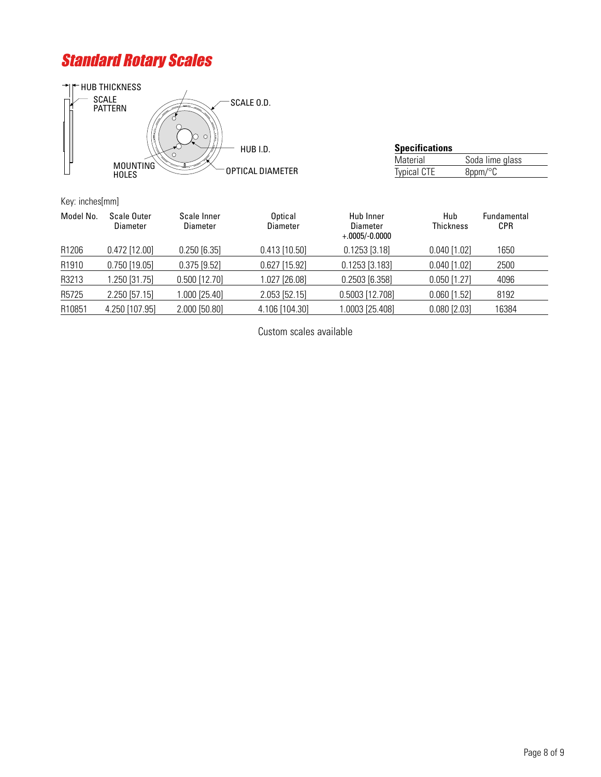# Standard Rotary Scales



| <b>Specifications</b> |                      |
|-----------------------|----------------------|
| Material              | Soda lime glass      |
| <b>Typical CTE</b>    | $8$ ppm/ $\degree$ C |

Key: inches[mm]

| Model No. | Scale Outer<br>Diameter | Scale Inner<br>Diameter | Optical<br>Diameter | Hub Inner<br>Diameter<br>$+.0005/-0.0000$ | Hub<br><b>Thickness</b> | Fundamental<br><b>CPR</b> |
|-----------|-------------------------|-------------------------|---------------------|-------------------------------------------|-------------------------|---------------------------|
| R1206     | $0.472$ [12.00]         | $0.250$ [6.35]          | $0.413$ [10.50]     | $0.1253$ [3.18]                           | $0.040$ [1.02]          | 1650                      |
| R1910     | $0.750$ [19.05]         | $0.375$ [9.52]          | $0.627$ [15.92]     | $0.1253$ [3.183]                          | $0.040$ [1.02]          | 2500                      |
| R3213     | .250 [31.75]            | $0.500$ [12.70]         | 1.027 [26.08]       | $0.2503$ [6.358]                          | $0.050$ [1.27]          | 4096                      |
| R5725     | 2.250 [57.15]           | $.000$ [25.40]          | 2.053 [52.15]       | 0.5003 [12.708]                           | $0.060$ [1.52]          | 8192                      |
| R10851    | 4.250 [107.95]          | 2.000 [50.80]           | 4.106 [104.30]      | 0003 [25.408]                             | $0.080$ [2.03]          | 16384                     |

Custom scales available